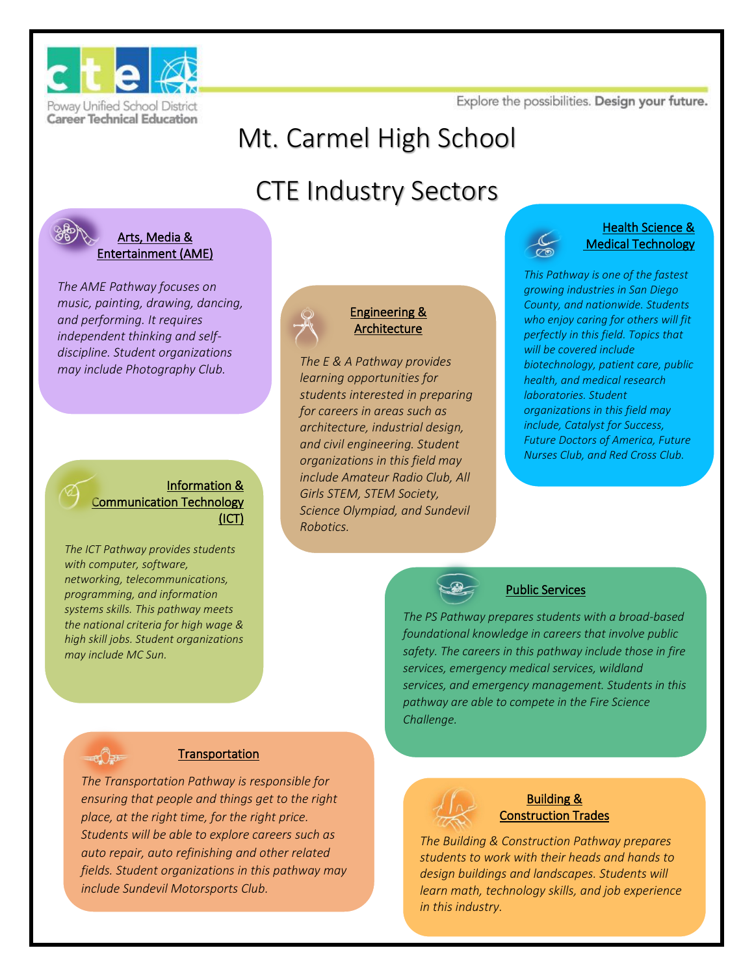

**Career Technical Education** 

Explore the possibilities. Design your future.

# Mt. Carmel High School

# CTE Industry Sectors



#### Arts, Media & Entertainment (AME)

*The AME Pathway focuses on music, painting, drawing, dancing, and performing. It requires independent thinking and selfdiscipline. Student organizations may include Photography Club.* 

#### Information & Communication Technology (ICT)

*The ICT Pathway provides students with computer, software, networking, telecommunications, programming, and information systems skills. This pathway meets the national criteria for high wage & high skill jobs. Student organizations may include MC Sun.* 

### Engineering & Architecture

*The E & A Pathway provides learning opportunities for students interested in preparing for careers in areas such as architecture, industrial design, and civil engineering. Student organizations in this field may include Amateur Radio Club, All Girls STEM, STEM Society, Science Olympiad, and Sundevil Robotics.* 

#### Health Science & Medical Technology

*This Pathway is one of the fastest growing industries in San Diego County, and nationwide. Students who enjoy caring for others will fit perfectly in this field. Topics that will be covered include biotechnology, patient care, public health, and medical research laboratories. Student organizations in this field may include, Catalyst for Success, Future Doctors of America, Future Nurses Club, and Red Cross Club.*



### Public Services

*The PS Pathway prepares students with a broad-based foundational knowledge in careers that involve public safety. The careers in this pathway include those in fire services, emergency medical services, wildland services, and emergency management. Students in this pathway are able to compete in the Fire Science Challenge.* 



#### **Transportation**

*The Transportation Pathway is responsible for ensuring that people and things get to the right place, at the right time, for the right price. Students will be able to explore careers such as auto repair, auto refinishing and other related fields. Student organizations in this pathway may include Sundevil Motorsports Club.*



#### Building & Construction Trades

*The Building & Construction Pathway prepares students to work with their heads and hands to design buildings and landscapes. Students will learn math, technology skills, and job experience in this industry.*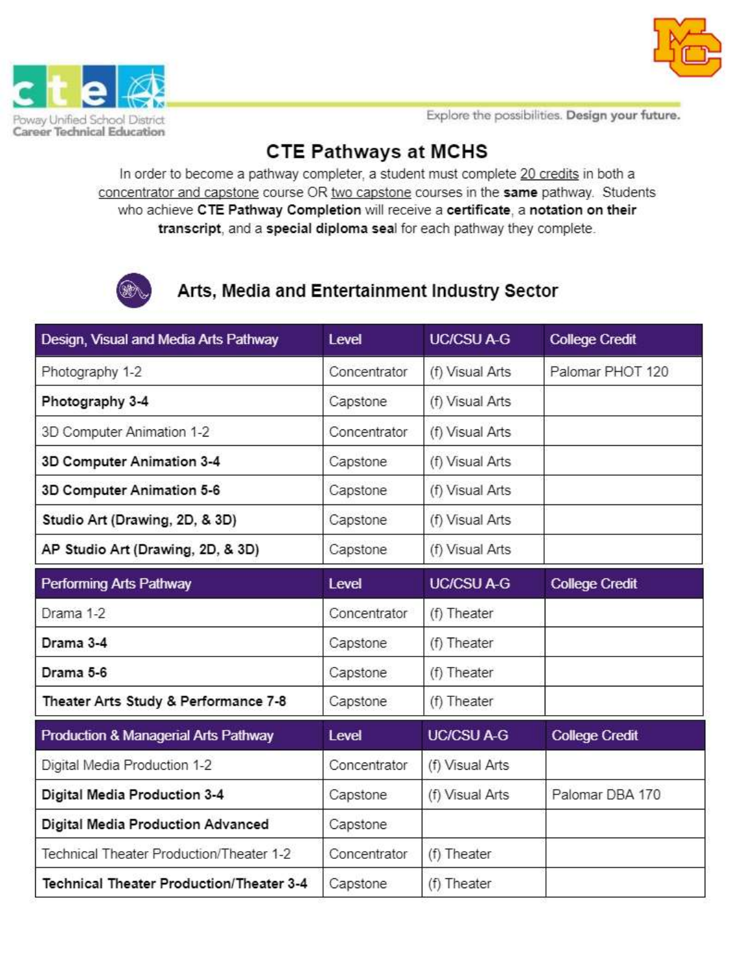



Explore the possibilities. Design your future.

### **CTE Pathways at MCHS**

In order to become a pathway completer, a student must complete 20 credits in both a concentrator and capstone course OR two capstone courses in the same pathway. Students who achieve CTE Pathway Completion will receive a certificate, a notation on their transcript, and a special diploma seal for each pathway they complete.



### Arts, Media and Entertainment Industry Sector

| Design, Visual and Media Arts Pathway    | Level        | <b>UC/CSU A-G</b> | <b>College Credit</b> |
|------------------------------------------|--------------|-------------------|-----------------------|
| Photography 1-2                          | Concentrator | (f) Visual Arts   | Palomar PHOT 120      |
| Photography 3-4                          | Capstone     | (f) Visual Arts   |                       |
| 3D Computer Animation 1-2                | Concentrator | (f) Visual Arts   |                       |
| 3D Computer Animation 3-4                | Capstone     | (f) Visual Arts   |                       |
| 3D Computer Animation 5-6                | Capstone     | (f) Visual Arts   |                       |
| Studio Art (Drawing, 2D, & 3D)           | Capstone     | (f) Visual Arts   |                       |
| AP Studio Art (Drawing, 2D, & 3D)        | Capstone     | (f) Visual Arts   |                       |
| <b>Performing Arts Pathway</b>           | Level        | <b>UC/CSU A-G</b> | <b>College Credit</b> |
| Drama 1-2                                | Concentrator | (f) Theater       |                       |
| Drama 3-4                                | Capstone     | (f) Theater       |                       |
| Drama 5-6                                | Capstone     | (f) Theater       |                       |
| Theater Arts Study & Performance 7-8     | Capstone     | (f) Theater       |                       |
| Production & Managerial Arts Pathway     | Level        | <b>UC/CSU A-G</b> | <b>College Credit</b> |
| Digital Media Production 1-2             | Concentrator | (f) Visual Arts   |                       |
| Digital Media Production 3-4             | Capstone     | (f) Visual Arts   | Palomar DBA 170       |
| Digital Media Production Advanced        | Capstone     |                   |                       |
| Technical Theater Production/Theater 1-2 | Concentrator | (f) Theater       |                       |
| Technical Theater Production/Theater 3-4 | Capstone     | (f) Theater       |                       |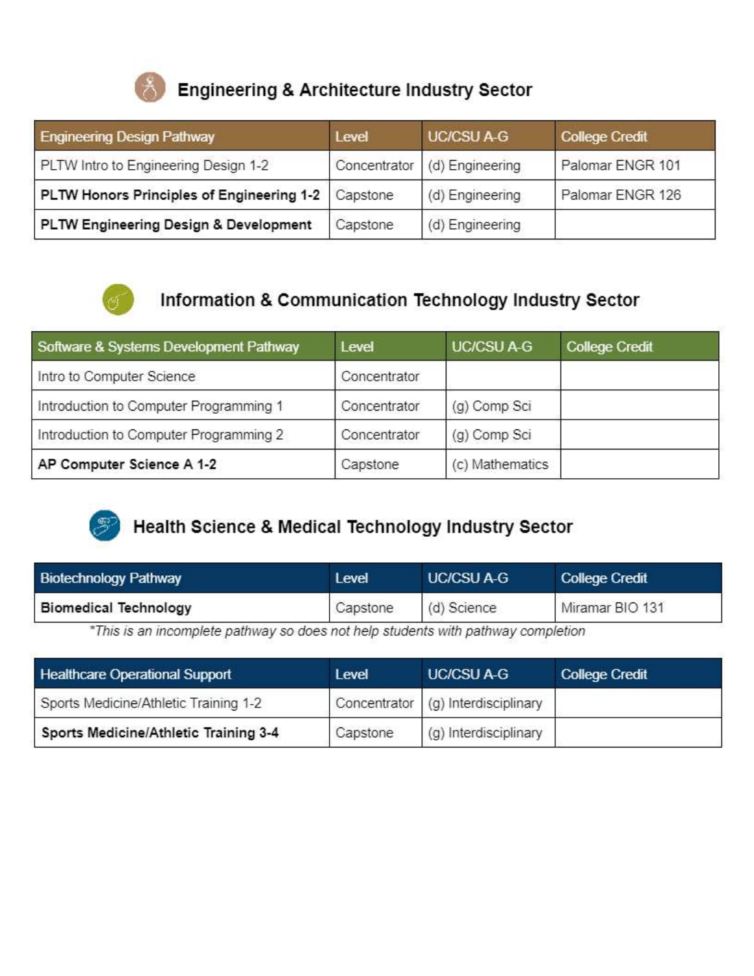

Engineering & Architecture Industry Sector

| <b>Engineering Design Pathway</b>                    | Level        | <b>UC/CSU A-G</b> | <b>College Credit</b> |
|------------------------------------------------------|--------------|-------------------|-----------------------|
| PLTW Intro to Engineering Design 1-2                 | Concentrator | (d) Engineering   | Palomar ENGR 101      |
| PLTW Honors Principles of Engineering 1-2   Capstone |              | (d) Engineering   | Palomar ENGR 126      |
| PLTW Engineering Design & Development                | Capstone     | (d) Engineering   |                       |



### Information & Communication Technology Industry Sector

| Software & Systems Development Pathway | Level        | <b>UC/CSU A-G</b> | <b>College Credit</b> |
|----------------------------------------|--------------|-------------------|-----------------------|
| Intro to Computer Science              | Concentrator |                   |                       |
| Introduction to Computer Programming 1 | Concentrator | (g) Comp Sci      |                       |
| Introduction to Computer Programming 2 | Concentrator | (g) Comp Sci      |                       |
| AP Computer Science A 1-2              | Capstone     | (c) Mathematics   |                       |



## **Health Science & Medical Technology Industry Sector**

| <b>Biotechnology Pathway</b> | Level    | <b>UC/CSU A-G</b> | <b>College Credit</b> |
|------------------------------|----------|-------------------|-----------------------|
| <b>Biomedical Technology</b> | Capstone | (d) Science       | Miramar BIO 131       |

\*This is an incomplete pathway so does not help students with pathway completion

| <b>Healthcare Operational Support</b> | Level    | <b>UC/CSU A-G</b>                  | <b>College Credit</b> |
|---------------------------------------|----------|------------------------------------|-----------------------|
| Sports Medicine/Athletic Training 1-2 |          | Concentrator (g) Interdisciplinary |                       |
| Sports Medicine/Athletic Training 3-4 | Capstone | (g) Interdisciplinary              |                       |